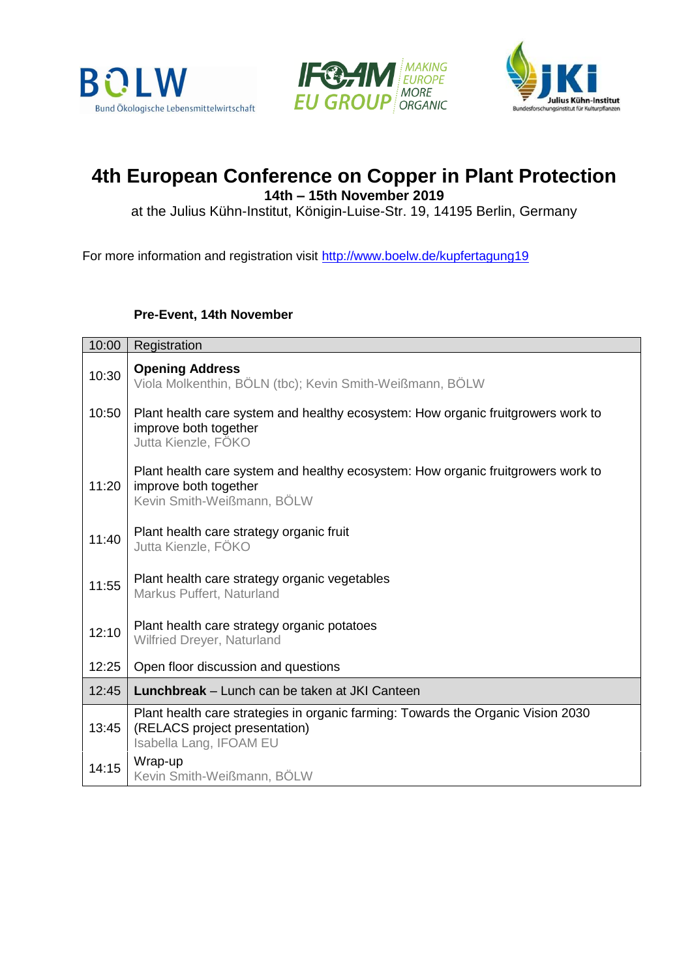





# **4th European Conference on Copper in Plant Protection**

**14th – 15th November 2019**

at the Julius Kühn-Institut, Königin-Luise-Str. 19, 14195 Berlin, Germany

For more information and registration visit<http://www.boelw.de/kupfertagung19>

#### **Pre-Event, 14th November**

| 10:00 | Registration                                                                                                                                 |
|-------|----------------------------------------------------------------------------------------------------------------------------------------------|
| 10:30 | <b>Opening Address</b><br>Viola Molkenthin, BÖLN (tbc); Kevin Smith-Weißmann, BÖLW                                                           |
| 10:50 | Plant health care system and healthy ecosystem: How organic fruitgrowers work to<br>improve both together<br>Jutta Kienzle, FÖKO             |
| 11:20 | Plant health care system and healthy ecosystem: How organic fruitgrowers work to<br>improve both together<br>Kevin Smith-Weißmann, BÖLW      |
| 11:40 | Plant health care strategy organic fruit<br>Jutta Kienzle, FÖKO                                                                              |
| 11:55 | Plant health care strategy organic vegetables<br>Markus Puffert, Naturland                                                                   |
| 12:10 | Plant health care strategy organic potatoes<br>Wilfried Dreyer, Naturland                                                                    |
| 12:25 | Open floor discussion and questions                                                                                                          |
| 12:45 | Lunchbreak – Lunch can be taken at JKI Canteen                                                                                               |
| 13:45 | Plant health care strategies in organic farming: Towards the Organic Vision 2030<br>(RELACS project presentation)<br>Isabella Lang, IFOAM EU |
| 14:15 | Wrap-up<br>Kevin Smith-Weißmann, BÖLW                                                                                                        |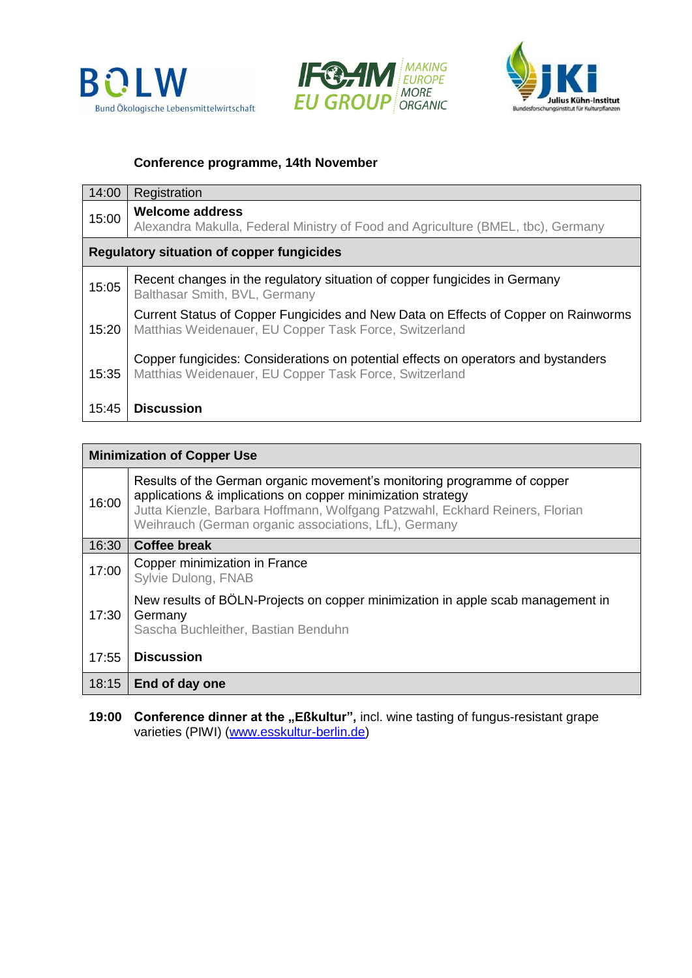





#### **Conference programme, 14th November**

| 14:00                                            | Registration                                                                                                                                 |  |
|--------------------------------------------------|----------------------------------------------------------------------------------------------------------------------------------------------|--|
| 15:00                                            | <b>Welcome address</b><br>Alexandra Makulla, Federal Ministry of Food and Agriculture (BMEL, tbc), Germany                                   |  |
| <b>Regulatory situation of copper fungicides</b> |                                                                                                                                              |  |
| 15:05                                            | Recent changes in the regulatory situation of copper fungicides in Germany<br>Balthasar Smith, BVL, Germany                                  |  |
| 15:20                                            | Current Status of Copper Fungicides and New Data on Effects of Copper on Rainworms<br>Matthias Weidenauer, EU Copper Task Force, Switzerland |  |
| 15:35                                            | Copper fungicides: Considerations on potential effects on operators and bystanders<br>Matthias Weidenauer, EU Copper Task Force, Switzerland |  |
| 15:45                                            | <b>Discussion</b>                                                                                                                            |  |

| <b>Minimization of Copper Use</b> |                                                                                                                                                                                                                                                                                 |  |
|-----------------------------------|---------------------------------------------------------------------------------------------------------------------------------------------------------------------------------------------------------------------------------------------------------------------------------|--|
| 16:00                             | Results of the German organic movement's monitoring programme of copper<br>applications & implications on copper minimization strategy<br>Jutta Kienzle, Barbara Hoffmann, Wolfgang Patzwahl, Eckhard Reiners, Florian<br>Weihrauch (German organic associations, LfL), Germany |  |
| 16:30                             | <b>Coffee break</b>                                                                                                                                                                                                                                                             |  |
| 17:00                             | Copper minimization in France<br>Sylvie Dulong, FNAB                                                                                                                                                                                                                            |  |
| 17:30                             | New results of BÖLN-Projects on copper minimization in apple scab management in<br>Germany<br>Sascha Buchleither, Bastian Benduhn                                                                                                                                               |  |
| 17:55                             | <b>Discussion</b>                                                                                                                                                                                                                                                               |  |
| 18:15                             | End of day one                                                                                                                                                                                                                                                                  |  |

**19:00 Conference dinner at the "Eßkultur", incl. wine tasting of fungus-resistant grape** varieties (PIWI) [\(www.esskultur-berlin.de\)](https://www.esskultur-berlin.de/catering/de/wo/dahlem.php)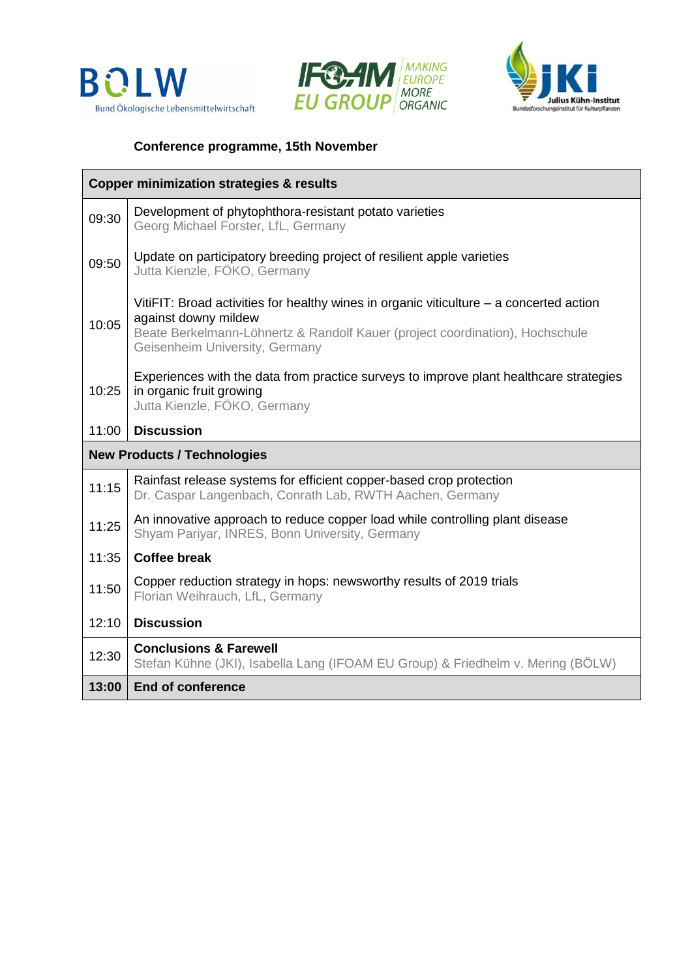





## **Conference programme, 15th November**

| <b>Copper minimization strategies &amp; results</b> |                                                                                                                                                                                                                                     |  |
|-----------------------------------------------------|-------------------------------------------------------------------------------------------------------------------------------------------------------------------------------------------------------------------------------------|--|
| 09:30                                               | Development of phytophthora-resistant potato varieties<br>Georg Michael Forster, LfL, Germany                                                                                                                                       |  |
| 09:50                                               | Update on participatory breeding project of resilient apple varieties<br>Jutta Kienzle, FÖKO, Germany                                                                                                                               |  |
| 10:05                                               | VitiFIT: Broad activities for healthy wines in organic viticulture $-$ a concerted action<br>against downy mildew<br>Beate Berkelmann-Löhnertz & Randolf Kauer (project coordination), Hochschule<br>Geisenheim University, Germany |  |
| 10:25                                               | Experiences with the data from practice surveys to improve plant healthcare strategies<br>in organic fruit growing<br>Jutta Kienzle, FÖKO, Germany                                                                                  |  |
| 11:00                                               | <b>Discussion</b>                                                                                                                                                                                                                   |  |
| <b>New Products / Technologies</b>                  |                                                                                                                                                                                                                                     |  |
| 11:15                                               | Rainfast release systems for efficient copper-based crop protection<br>Dr. Caspar Langenbach, Conrath Lab, RWTH Aachen, Germany                                                                                                     |  |
| 11:25                                               | An innovative approach to reduce copper load while controlling plant disease<br>Shyam Pariyar, INRES, Bonn University, Germany                                                                                                      |  |
| 11:35                                               | <b>Coffee break</b>                                                                                                                                                                                                                 |  |
| 11:50                                               | Copper reduction strategy in hops: newsworthy results of 2019 trials<br>Florian Weihrauch, LfL, Germany                                                                                                                             |  |
| 12:10                                               | <b>Discussion</b>                                                                                                                                                                                                                   |  |
| 12:30                                               | <b>Conclusions &amp; Farewell</b><br>Stefan Kühne (JKI), Isabella Lang (IFOAM EU Group) & Friedhelm v. Mering (BOLW)                                                                                                                |  |
| 13:00                                               | <b>End of conference</b>                                                                                                                                                                                                            |  |